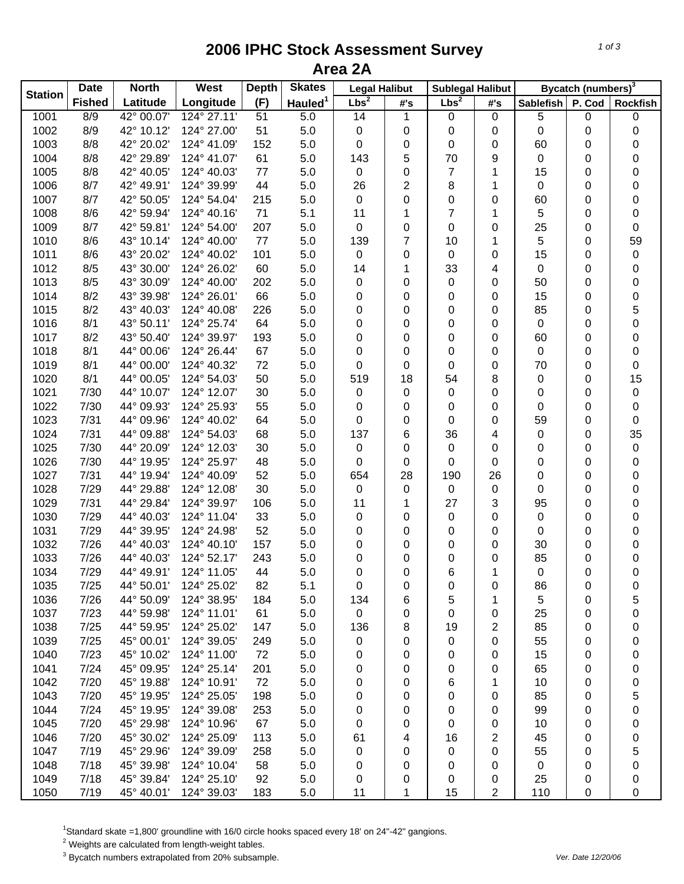## **2006 IPHC Stock Assessment Survey Area 2A**

| <b>Station</b> | <b>Date</b>   | <b>North</b> | West        | <b>Depth</b> | <b>Skates</b>       | <b>Legal Halibut</b> |                | <b>Sublegal Halibut</b> |     | Bycatch (numbers) <sup>3</sup> |        |                 |
|----------------|---------------|--------------|-------------|--------------|---------------------|----------------------|----------------|-------------------------|-----|--------------------------------|--------|-----------------|
|                | <b>Fished</b> | Latitude     | Longitude   | (F)          | Hauled <sup>1</sup> | Lbs <sup>2</sup>     | #'s            | Lbs <sup>2</sup>        | #'s | <b>Sablefish</b>               | P. Cod | <b>Rockfish</b> |
| 1001           | 8/9           | 42° 00.07'   | 124° 27.11' | 51           | 5.0                 | 14                   | 1              | 0                       | 0   | 5                              | 0      | 0               |
| 1002           | 8/9           | 42° 10.12'   | 124° 27.00' | 51           | 5.0                 | 0                    | 0              | 0                       | 0   | 0                              | 0      | 0               |
| 1003           | 8/8           | 42° 20.02'   | 124° 41.09' | 152          | 5.0                 | 0                    | 0              | 0                       | 0   | 60                             | 0      | 0               |
| 1004           | 8/8           | 42° 29.89'   | 124° 41.07' | 61           | 5.0                 | 143                  | 5              | 70                      | 9   | 0                              | 0      | 0               |
| 1005           | 8/8           | 42° 40.05'   | 124° 40.03' | 77           | 5.0                 | 0                    | 0              | 7                       | 1   | 15                             | 0      | 0               |
| 1006           | 8/7           | 42° 49.91'   | 124° 39.99' | 44           | 5.0                 | 26                   | $\overline{2}$ | 8                       | 1   | 0                              | 0      | 0               |
| 1007           | 8/7           | 42° 50.05'   | 124° 54.04' | 215          | 5.0                 | $\mathbf 0$          | 0              | 0                       | 0   | 60                             | 0      | 0               |
| 1008           | 8/6           | 42° 59.94'   | 124° 40.16' | 71           | 5.1                 | 11                   | 1              | 7                       | 1   | 5                              | 0      | 0               |
| 1009           | 8/7           | 42° 59.81'   | 124° 54.00' | 207          | 5.0                 | 0                    | 0              | 0                       | 0   | 25                             | 0      | 0               |
| 1010           | 8/6           | 43° 10.14'   | 124° 40.00' | 77           | 5.0                 | 139                  | 7              | 10                      | 1   | 5                              | 0      | 59              |
| 1011           | 8/6           | 43° 20.02'   | 124° 40.02' | 101          | 5.0                 | 0                    | 0              | 0                       | 0   | 15                             | 0      | 0               |
| 1012           | 8/5           | 43° 30.00'   | 124° 26.02' | 60           | 5.0                 | 14                   | 1              | 33                      | 4   | 0                              | 0      | 0               |
| 1013           | 8/5           | 43° 30.09'   | 124° 40.00' | 202          | 5.0                 | 0                    | 0              | 0                       | 0   | 50                             | 0      | 0               |
| 1014           | 8/2           | 43° 39.98'   | 124° 26.01' | 66           | 5.0                 | 0                    | 0              | 0                       | 0   | 15                             | 0      | 0               |
| 1015           | 8/2           | 43° 40.03'   | 124° 40.08' | 226          | 5.0                 | 0                    | 0              | 0                       | 0   | 85                             | 0      | 5               |
| 1016           | 8/1           | 43° 50.11'   | 124° 25.74' | 64           | 5.0                 | 0                    | 0              | 0                       | 0   | 0                              | 0      | 0               |
| 1017           | 8/2           | 43° 50.40'   | 124° 39.97' | 193          | 5.0                 | 0                    | 0              | 0                       | 0   | 60                             | 0      | 0               |
| 1018           | 8/1           | 44° 00.06'   | 124° 26.44' | 67           | 5.0                 | 0                    | 0              | 0                       | 0   | 0                              | 0      | 0               |
| 1019           | 8/1           | 44° 00.00'   | 124° 40.32' | 72           | 5.0                 | 0                    | 0              | 0                       | 0   | 70                             | 0      | 0               |
| 1020           | 8/1           | 44° 00.05'   | 124° 54.03' | 50           | 5.0                 | 519                  | 18             | 54                      | 8   | 0                              | 0      | 15              |
| 1021           | 7/30          | 44° 10.07'   | 124° 12.07' | 30           | 5.0                 | $\pmb{0}$            | 0              | 0                       | 0   | 0                              | 0      | 0               |
| 1022           | 7/30          | 44° 09.93'   | 124° 25.93' | 55           | 5.0                 | 0                    | 0              | 0                       | 0   | 0                              | 0      | 0               |
| 1023           | 7/31          | 44° 09.96'   | 124° 40.02' | 64           | 5.0                 | 0                    | 0              | 0                       | 0   | 59                             | 0      | 0               |
| 1024           | 7/31          | 44° 09.88'   | 124° 54.03' | 68           | 5.0                 | 137                  | 6              | 36                      | 4   | 0                              | 0      | 35              |
| 1025           | 7/30          | 44° 20.09'   | 124° 12.03' | 30           | 5.0                 | $\pmb{0}$            | 0              | 0                       | 0   | 0                              | 0      | 0               |
| 1026           | 7/30          | 44° 19.95'   | 124° 25.97' | 48           | 5.0                 | 0                    | 0              | 0                       | 0   | 0                              | 0      | 0               |
| 1027           | 7/31          | 44° 19.94'   | 124° 40.09' | 52           | 5.0                 | 654                  | 28             | 190                     | 26  | 0                              | 0      | 0               |
| 1028           | 7/29          | 44° 29.88'   | 124° 12.08' | 30           | 5.0                 | $\pmb{0}$            | 0              | 0                       | 0   | 0                              | 0      | 0               |
| 1029           | 7/31          | 44° 29.84'   | 124° 39.97' | 106          | 5.0                 | 11                   | 1              | 27                      | 3   | 95                             | 0      | 0               |
| 1030           | 7/29          | 44° 40.03'   | 124° 11.04' | 33           | 5.0                 | 0                    | 0              | 0                       | 0   | 0                              | 0      | 0               |
| 1031           | 7/29          | 44° 39.95'   | 124° 24.98' | 52           | 5.0                 | 0                    | 0              | 0                       | 0   | 0                              | 0      | 0               |
| 1032           | 7/26          | 44° 40.03'   | 124° 40.10' | 157          | 5.0                 | 0                    | 0              | 0                       | 0   | 30                             | 0      | 0               |
| 1033           | 7/26          | 44° 40.03'   | 124° 52.17' | 243          | 5.0                 | 0                    | 0              | 0                       | 0   | 85                             | 0      | 0               |
| 1034           | 7/29          | 44° 49.91'   | 124° 11.05' | 44           | 5.0                 | 0                    | 0              | 6                       | 1   | 0                              | 0      | 0               |
| 1035           | 7/25          | 44° 50.01'   | 124° 25.02' | 82           | 5.1                 | 0                    | 0              | 0                       | 0   | 86                             | 0      | 0               |
| 1036           | 7/26          | 44° 50.09'   | 124° 38.95' | 184          | 5.0                 | 134                  | 6              | 5                       | 1   | 5                              | 0      | 5               |
| 1037           | 7/23          | 44° 59.98'   | 124° 11.01' | 61           | 5.0                 | $\pmb{0}$            | 0              | 0                       | 0   | 25                             | 0      | 0               |
| 1038           | 7/25          | 44° 59.95'   | 124° 25.02' | 147          | 5.0                 | 136                  | 8              | 19                      | 2   | 85                             | 0      | 0               |
| 1039           | 7/25          | 45° 00.01'   | 124° 39.05' | 249          | 5.0                 | 0                    | 0              | 0                       | 0   | 55                             | 0      | 0               |
| 1040           | 7/23          | 45° 10.02'   | 124° 11.00' | 72           | 5.0                 | 0                    | 0              | 0                       | 0   | 15                             | 0      | 0               |
| 1041           | 7/24          | 45° 09.95'   | 124° 25.14' | 201          | 5.0                 | 0                    | 0              | 0                       | 0   | 65                             | 0      | 0               |
| 1042           | 7/20          | 45° 19.88'   | 124° 10.91' | 72           | 5.0                 | 0                    | 0              | 6                       | 1   | 10                             | 0      | 0               |
| 1043           | 7/20          | 45° 19.95'   | 124° 25.05' | 198          | 5.0                 | 0                    | 0              | 0                       | 0   | 85                             | 0      | 5               |
| 1044           | 7/24          | 45° 19.95'   | 124° 39.08' | 253          | 5.0                 | 0                    | 0              | 0                       | 0   | 99                             | 0      | 0               |
| 1045           | 7/20          | 45° 29.98'   | 124° 10.96' | 67           | 5.0                 | 0                    | 0              | 0                       | 0   | 10                             | 0      | 0               |
| 1046           | 7/20          | 45° 30.02'   | 124° 25.09' | 113          | 5.0                 | 61                   | 4              | 16                      | 2   | 45                             | 0      | 0               |
| 1047           | 7/19          | 45° 29.96'   | 124° 39.09' | 258          | 5.0                 | 0                    | 0              | 0                       | 0   | 55                             | 0      | 5               |
| 1048           | 7/18          | 45° 39.98'   | 124° 10.04' | 58           | 5.0                 | 0                    | 0              | 0                       | 0   | 0                              | 0      | 0               |
| 1049           | 7/18          | 45° 39.84'   | 124° 25.10' | 92           | 5.0                 | 0                    | 0              | 0                       | 0   | 25                             | 0      | 0               |
| 1050           | 7/19          | 45° 40.01'   | 124° 39.03' | 183          | 5.0                 | 11                   | 1              | 15                      | 2   | 110                            | 0      | 0               |

<sup>1</sup>Standard skate =1,800' groundline with 16/0 circle hooks spaced every 18' on 24"-42" gangions.<br><sup>2</sup> Weights are calculated from length-weight tables.<br><sup>3</sup> Bycatch numbers extrapolated from 20% subsample.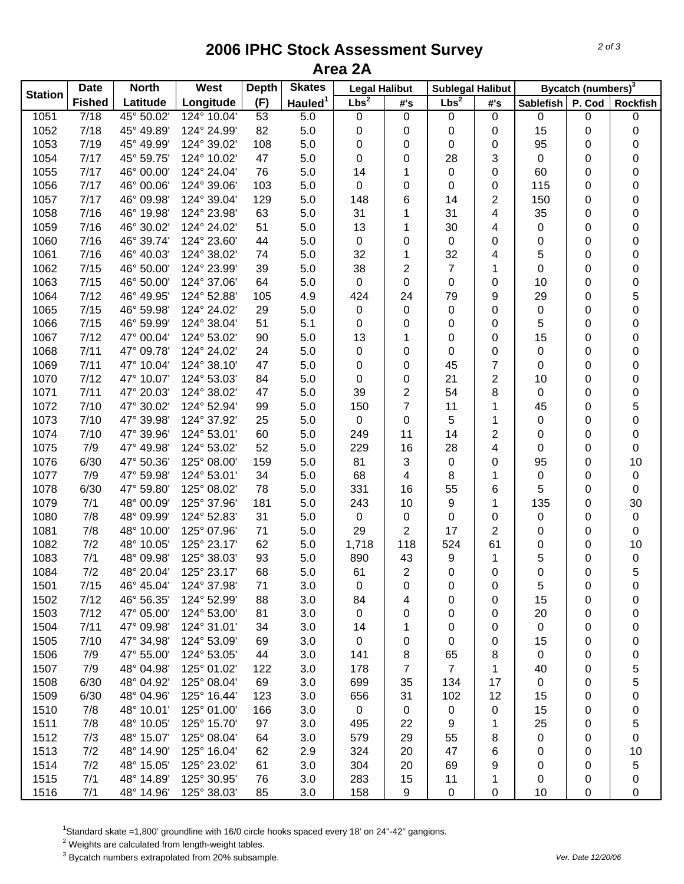## **2006 IPHC Stock Assessment Survey Area 2A**

| <b>Station</b> | <b>Date</b>   | <b>North</b> | West        | <b>Depth</b> | <b>Skates</b>       | <b>Legal Halibut</b> |                | <b>Sublegal Halibut</b> |                         |                  | Bycatch (numbers) <sup>3</sup> |                 |
|----------------|---------------|--------------|-------------|--------------|---------------------|----------------------|----------------|-------------------------|-------------------------|------------------|--------------------------------|-----------------|
|                | <b>Fished</b> | Latitude     | Longitude   | (F)          | Hauled <sup>1</sup> | Lbs <sup>2</sup>     | #'s            | Lbs <sup>2</sup>        | #'s                     | <b>Sablefish</b> | P. Cod                         | <b>Rockfish</b> |
| 1051           | $\sqrt{7/18}$ | 45° 50.02'   | 124° 10.04' | 53           | 5.0                 | 0                    | $\pmb{0}$      | 0                       | $\mathbf 0$             | 0                | 0                              | 0               |
| 1052           | 7/18          | 45° 49.89'   | 124° 24.99' | 82           | 5.0                 | 0                    | 0              | 0                       | 0                       | 15               | 0                              | 0               |
| 1053           | 7/19          | 45° 49.99'   | 124° 39.02' | 108          | 5.0                 | 0                    | 0              | 0                       | 0                       | 95               | 0                              | 0               |
| 1054           | 7/17          | 45° 59.75'   | 124° 10.02' | 47           | 5.0                 | 0                    | 0              | 28                      | 3                       | 0                | 0                              | 0               |
| 1055           | 7/17          | 46° 00.00'   | 124° 24.04' | 76           | 5.0                 | 14                   | 1              | 0                       | 0                       | 60               | 0                              | 0               |
| 1056           | 7/17          | 46° 00.06'   | 124° 39.06' | 103          | 5.0                 | 0                    | 0              | 0                       | 0                       | 115              | 0                              | 0               |
| 1057           | 7/17          | 46° 09.98'   | 124° 39.04' | 129          | 5.0                 | 148                  | 6              | 14                      | $\overline{\mathbf{c}}$ | 150              | 0                              | 0               |
| 1058           | 7/16          | 46° 19.98'   | 124° 23.98' | 63           | 5.0                 | 31                   | 1              | 31                      | 4                       | 35               | 0                              | 0               |
| 1059           | 7/16          | 46° 30.02'   | 124° 24.02' | 51           | 5.0                 | 13                   | 1              | 30                      | 4                       | 0                | 0                              | 0               |
| 1060           | 7/16          | 46° 39.74'   | 124° 23.60' | 44           | 5.0                 | $\pmb{0}$            | 0              | 0                       | 0                       | 0                | 0                              | 0               |
| 1061           | 7/16          | 46° 40.03'   | 124° 38.02' | 74           | 5.0                 | 32                   | 1              | 32                      | 4                       | 5                | 0                              | 0               |
| 1062           | 7/15          | 46° 50.00    | 124° 23.99' | 39           | 5.0                 | 38                   | 2              | 7                       | 1                       | 0                | 0                              | 0               |
| 1063           | 7/15          | 46° 50.00    | 124° 37.06' | 64           | 5.0                 | 0                    | 0              | 0                       | 0                       | 10               | 0                              | 0               |
| 1064           | 7/12          | 46° 49.95'   | 124° 52.88' | 105          | 4.9                 | 424                  | 24             | 79                      | 9                       | 29               | 0                              | 5               |
| 1065           | 7/15          | 46° 59.98'   | 124° 24.02' | 29           | 5.0                 | $\pmb{0}$            | 0              | 0                       | 0                       | 0                | 0                              | 0               |
| 1066           | 7/15          | 46° 59.99'   | 124° 38.04' | 51           | 5.1                 | 0                    | 0              | 0                       | 0                       | 5                | 0                              | 0               |
| 1067           | 7/12          | 47° 00.04'   | 124° 53.02' | 90           | 5.0                 | 13                   | 1              | 0                       | 0                       | 15               | 0                              | 0               |
| 1068           | 7/11          | 47° 09.78'   | 124° 24.02' | 24           | 5.0                 | 0                    | 0              | 0                       | 0                       | 0                | 0                              | 0               |
| 1069           | 7/11          | 47° 10.04'   | 124° 38.10' | 47           | 5.0                 | 0                    | 0              | 45                      | 7                       | 0                | 0                              | 0               |
| 1070           | 7/12          | 47° 10.07'   | 124° 53.03' | 84           | 5.0                 | 0                    | 0              | 21                      | $\overline{2}$          | 10               | 0                              | 0               |
| 1071           | 7/11          | 47° 20.03'   | 124° 38.02' | 47           | 5.0                 | 39                   | $\overline{c}$ | 54                      | 8                       | 0                | 0                              | 0               |
| 1072           | 7/10          | 47° 30.02'   | 124° 52.94' | 99           | 5.0                 | 150                  | $\overline{7}$ | 11                      | 1                       | 45               | 0                              | 5               |
| 1073           | 7/10          | 47° 39.98'   | 124° 37.92' | 25           | 5.0                 | $\pmb{0}$            | 0              | 5                       | 1                       | 0                | 0                              | 0               |
| 1074           | 7/10          | 47° 39.96'   | 124° 53.01' | 60           | 5.0                 | 249                  | 11             | 14                      | $\overline{2}$          | 0                | 0                              | 0               |
| 1075           | 7/9           | 47° 49.98'   | 124° 53.02' | 52           | 5.0                 | 229                  | 16             | 28                      | 4                       | 0                | 0                              | 0               |
| 1076           | 6/30          | 47° 50.36'   | 125° 08.00' | 159          | 5.0                 | 81                   | 3              | 0                       | 0                       | 95               | 0                              | 10              |
| 1077           | 7/9           | 47° 59.98'   | 124° 53.01' | 34           | 5.0                 | 68                   | 4              | 8                       | 1                       | 0                | 0                              | 0               |
| 1078           | 6/30          | 47° 59.80'   | 125° 08.02' | 78           | 5.0                 | 331                  | 16             | 55                      | 6                       | 5                | 0                              | 0               |
| 1079           | 7/1           | 48° 00.09'   | 125° 37.96' | 181          | 5.0                 | 243                  | 10             | 9                       | 1                       | 135              | 0                              | 30              |
| 1080           | 7/8           | 48° 09.99'   | 124° 52.83' | 31           | 5.0                 | 0                    | 0              | 0                       | 0                       | 0                | 0                              | 0               |
| 1081           | 7/8           | 48° 10.00'   | 125° 07.96' | 71           | 5.0                 | 29                   | 2              | 17                      | 2                       | 0                | 0                              | 0               |
| 1082           | 7/2           | 48° 10.05'   | 125° 23.17' | 62           | 5.0                 | 1,718                | 118            | 524                     | 61                      | 0                | 0                              | 10              |
| 1083           | 7/1           | 48° 09.98'   | 125° 38.03' | 93           | 5.0                 | 890                  | 43             | 9                       | 1                       | 5                | 0                              | 0               |
| 1084           | 7/2           | 48° 20.04'   | 125° 23.17' | 68           | 5.0                 | 61                   | $\overline{2}$ | 0                       | 0                       | 0                | 0                              | 5               |
| 1501           | 7/15          | 46° 45.04'   | 124° 37.98' | 71           | 3.0                 | 0                    | 0              | 0                       | 0                       | 5                | 0                              | 0               |
| 1502           | 7/12          | 46° 56.35'   | 124° 52.99' | 88           | 3.0                 | 84                   | 4              | 0                       | 0                       | 15               | 0                              | 0               |
| 1503           | 7/12          | 47° 05.00'   | 124° 53.00' | 81           | 3.0                 | 0                    | 0              | 0                       | 0                       | 20               | 0                              | 0               |
| 1504           | 7/11          | 47° 09.98'   | 124° 31.01' | 34           | 3.0                 | 14                   | 1              | 0                       | 0                       | $\mathbf 0$      | 0                              | 0               |
| 1505           | 7/10          | 47° 34.98'   | 124° 53.09' | 69           | 3.0                 | 0                    | 0              | 0                       | 0                       | 15               | 0                              | 0               |
| 1506           | 7/9           | 47° 55.00'   | 124° 53.05' | 44           | 3.0                 | 141                  | 8              | 65                      | 8                       | $\mathbf 0$      | 0                              | 0               |
| 1507           | 7/9           | 48° 04.98'   | 125° 01.02' | 122          | 3.0                 | 178                  | 7              | $\overline{7}$          | 1                       | 40               | 0                              | 5               |
| 1508           | 6/30          | 48° 04.92'   | 125° 08.04' | 69           | 3.0                 | 699                  | 35             | 134                     | 17                      | 0                | 0                              | 5               |
| 1509           | 6/30          | 48° 04.96'   | 125° 16.44' | 123          | 3.0                 | 656                  | 31             | 102                     | 12                      | 15               | 0                              | 0               |
| 1510           | 7/8           | 48° 10.01'   | 125° 01.00' | 166          | 3.0                 | $\mathbf 0$          | $\mathbf 0$    | 0                       | 0                       | 15               | 0                              | 0               |
| 1511           | 7/8           | 48° 10.05'   | 125° 15.70' | 97           | 3.0                 | 495                  | 22             | 9                       | 1                       | 25               | 0                              | 5               |
| 1512           | 7/3           | 48° 15.07'   | 125° 08.04' | 64           | 3.0                 | 579                  | 29             | 55                      | 8                       | 0                | 0                              | 0               |
| 1513           | 7/2           | 48° 14.90'   | 125° 16.04' | 62           | 2.9                 | 324                  | 20             | 47                      | 6                       | 0                | 0                              | 10              |
| 1514           | 7/2           | 48° 15.05'   | 125° 23.02' | 61           | 3.0                 | 304                  | 20             | 69                      | 9                       | 0                | 0                              | 5               |
| 1515           | 7/1           | 48° 14.89'   | 125° 30.95' | 76           | 3.0                 | 283                  | 15             | 11                      | 1                       | 0                | 0                              | 0               |
| 1516           | 7/1           | 48° 14.96'   | 125° 38.03' | 85           | 3.0                 | 158                  | 9              | 0                       | 0                       | 10               | 0                              | 0               |

<sup>1</sup>Standard skate =1,800' groundline with 16/0 circle hooks spaced every 18' on 24"-42" gangions.<br><sup>2</sup> Weights are calculated from length-weight tables.

3 Bycatch numbers extrapolated from 20% subsample. *Ver. Date 12/20/06*